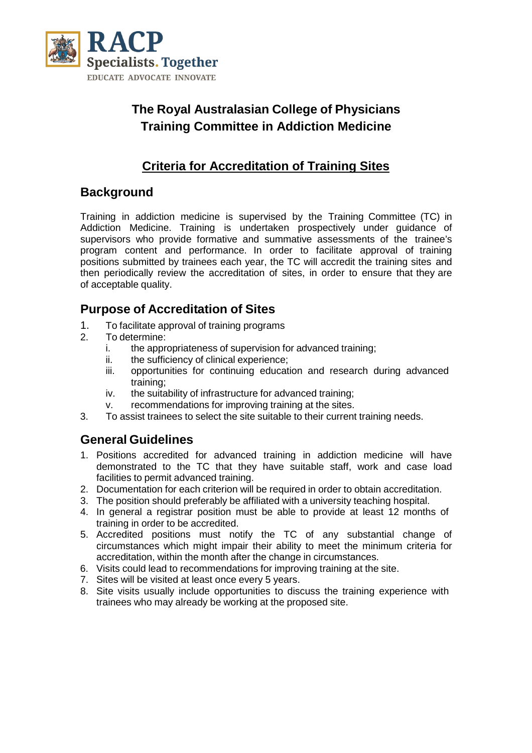

# **The Royal Australasian College of Physicians Training Committee in Addiction Medicine**

# **Criteria for Accreditation of Training Sites**

### **Background**

Training in addiction medicine is supervised by the Training Committee (TC) in Addiction Medicine. Training is undertaken prospectively under guidance of supervisors who provide formative and summative assessments of the trainee's program content and performance. In order to facilitate approval of training positions submitted by trainees each year, the TC will accredit the training sites and then periodically review the accreditation of sites, in order to ensure that they are of acceptable quality.

# **Purpose of Accreditation of Sites**

- 1. To facilitate approval of training programs<br>2. To determine:
- To determine:
	- i. the appropriateness of supervision for advanced training;
	- ii. the sufficiency of clinical experience;
	- iii. opportunities for continuing education and research during advanced training;
	- iv. the suitability of infrastructure for advanced training;
	- v. recommendations for improving training at the sites.
- 3. To assist trainees to select the site suitable to their current training needs.

### **General Guidelines**

- 1. Positions accredited for advanced training in addiction medicine will have demonstrated to the TC that they have suitable staff, work and case load facilities to permit advanced training.
- 2. Documentation for each criterion will be required in order to obtain accreditation.
- 3. The position should preferably be affiliated with a university teaching hospital.
- 4. In general a registrar position must be able to provide at least 12 months of training in order to be accredited.
- 5. Accredited positions must notify the TC of any substantial change of circumstances which might impair their ability to meet the minimum criteria for accreditation, within the month after the change in circumstances.
- 6. Visits could lead to recommendations for improving training at the site.
- 7. Sites will be visited at least once every 5 years.
- 8. Site visits usually include opportunities to discuss the training experience with trainees who may already be working at the proposed site.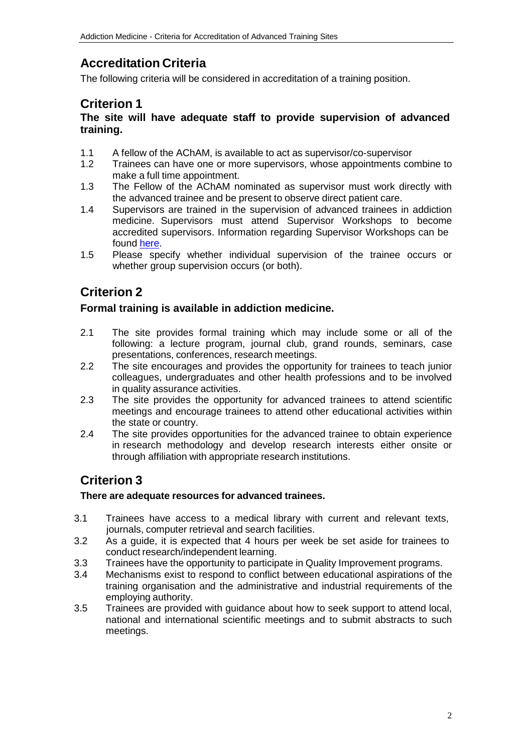# **Accreditation Criteria**

The following criteria will be considered in accreditation of a training position.

### **Criterion 1**

#### **The site will have adequate staff to provide supervision of advanced training.**

- 1.1 A fellow of the AChAM, is available to act as supervisor/co-supervisor<br>1.2 Trainees can have one or more supervisors, whose appointments co
- Trainees can have one or more supervisors, whose appointments combine to make a full time appointment.
- 1.3 The Fellow of the AChAM nominated as supervisor must work directly with the advanced trainee and be present to observe direct patient care.
- 1.4 Supervisors are trained in the supervision of advanced trainees in addiction medicine. Supervisors must attend Supervisor Workshops to become accredited supervisors. Information regarding Supervisor Workshops can be found [here.](https://www.racp.edu.au/fellows/supervision/supervisor-workshops)
- 1.5 Please specify whether individual supervision of the trainee occurs or whether group supervision occurs (or both).

# **Criterion 2**

#### **Formal training is available in addiction medicine.**

- 2.1 The site provides formal training which may include some or all of the following: a lecture program, journal club, grand rounds, seminars, case presentations, conferences, research meetings.
- 2.2 The site encourages and provides the opportunity for trainees to teach junior colleagues, undergraduates and other health professions and to be involved in quality assurance activities.
- 2.3 The site provides the opportunity for advanced trainees to attend scientific meetings and encourage trainees to attend other educational activities within the state or country.
- 2.4 The site provides opportunities for the advanced trainee to obtain experience in research methodology and develop research interests either onsite or through affiliation with appropriate research institutions.

# **Criterion 3**

#### **There are adequate resources for advanced trainees.**

- 3.1 Trainees have access to a medical library with current and relevant texts, journals, computer retrieval and search facilities.
- 3.2 As a guide, it is expected that 4 hours per week be set aside for trainees to conduct research/independent learning.
- 3.3 Trainees have the opportunity to participate in Quality Improvement programs.
- 3.4 Mechanisms exist to respond to conflict between educational aspirations of the training organisation and the administrative and industrial requirements of the employing authority.
- 3.5 Trainees are provided with guidance about how to seek support to attend local, national and international scientific meetings and to submit abstracts to such meetings.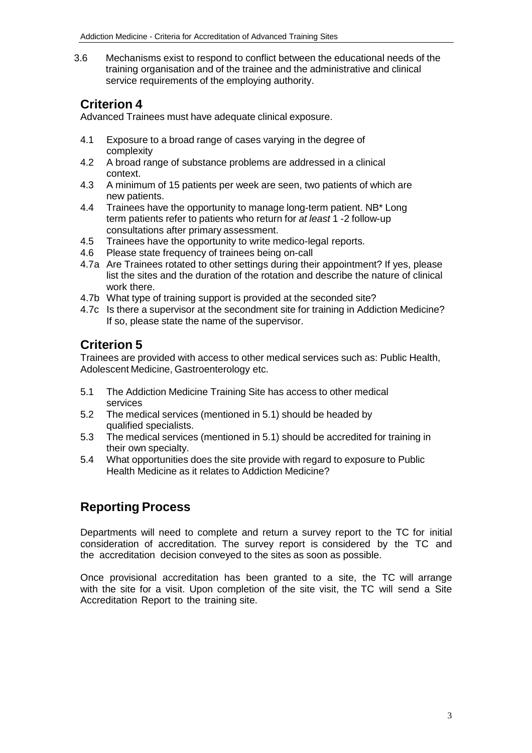3.6 Mechanisms exist to respond to conflict between the educational needs of the training organisation and of the trainee and the administrative and clinical service requirements of the employing authority.

### **Criterion 4**

Advanced Trainees must have adequate clinical exposure.

- 4.1 Exposure to a broad range of cases varying in the degree of complexity
- 4.2 A broad range of substance problems are addressed in a clinical context.
- 4.3 A minimum of 15 patients per week are seen, two patients of which are new patients.
- 4.4 Trainees have the opportunity to manage long-term patient. NB\* Long term patients refer to patients who return for *at least* 1 -2 follow-up consultations after primary assessment.
- 4.5 Trainees have the opportunity to write medico-legal reports.
- 4.6 Please state frequency of trainees being on-call
- 4.7a Are Trainees rotated to other settings during their appointment? If yes, please list the sites and the duration of the rotation and describe the nature of clinical work there.
- 4.7b What type of training support is provided at the seconded site?
- 4.7c Is there a supervisor at the secondment site for training in Addiction Medicine? If so, please state the name of the supervisor.

# **Criterion 5**

Trainees are provided with access to other medical services such as: Public Health, Adolescent Medicine, Gastroenterology etc.

- 5.1 The Addiction Medicine Training Site has access to other medical services
- 5.2 The medical services (mentioned in 5.1) should be headed by qualified specialists.
- 5.3 The medical services (mentioned in 5.1) should be accredited for training in their own specialty.
- 5.4 What opportunities does the site provide with regard to exposure to Public Health Medicine as it relates to Addiction Medicine?

# **Reporting Process**

Departments will need to complete and return a survey report to the TC for initial consideration of accreditation. The survey report is considered by the TC and the accreditation decision conveyed to the sites as soon as possible.

Once provisional accreditation has been granted to a site, the TC will arrange with the site for a visit. Upon completion of the site visit, the TC will send a Site Accreditation Report to the training site.